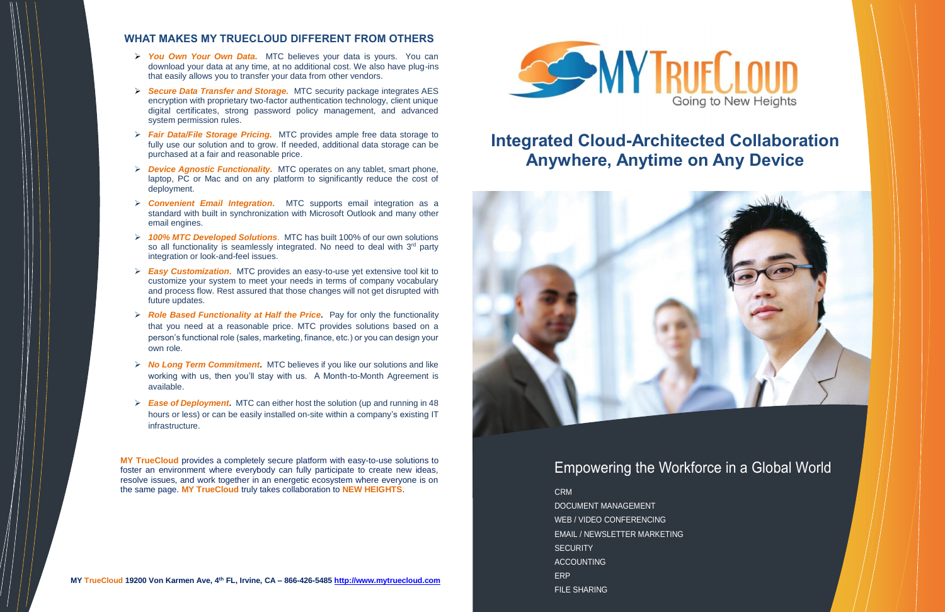Empowering the Workforce in a Global World

DOCUMENT MANAGEMENT WEB / VIDEO CONFERENCING EMAIL / NEWSLETTER MARKETING **SECURITY ACCOUNTING** ERP **FILE SHARING** 

## CRM

# **WHAT MAKES MY TRUECLOUD DIFFERENT FROM OTHERS**

- ➢ *You Own Your Own Data.*MTC believes your data is yours. You can download your data at any time, at no additional cost. We also have plug-ins that easily allows you to transfer your data from other vendors.
- ➢ *Secure Data Transfer and Storage.*MTC security package integrates AES encryption with proprietary two-factor authentication technology, client unique digital certificates, strong password policy management, and advanced system permission rules.
- ➢ *Fair Data/File Storage Pricing.*MTC provides ample free data storage to fully use our solution and to grow. If needed, additional data storage can be purchased at a fair and reasonable price.
- ➢ *Device Agnostic Functionality.*MTC operates on any tablet, smart phone, laptop, PC or Mac and on any platform to significantly reduce the cost of deployment.
- ➢ *Convenient Email Integration***.** MTC supports email integration as a standard with built in synchronization with Microsoft Outlook and many other email engines.
- ➢ *100% MTC Developed Solutions*. MTC has built 100% of our own solutions so all functionality is seamlessly integrated. No need to deal with  $3<sup>rd</sup>$  party integration or look-and-feel issues.
- ➢ *Easy Customization***.** MTC provides an easy-to-use yet extensive tool kit to customize your system to meet your needs in terms of company vocabulary and process flow. Rest assured that those changes will not get disrupted with future updates.
- ➢ *Role Based Functionality at Half the Price***.** Pay for only the functionality that you need at a reasonable price. MTC provides solutions based on a person's functional role (sales, marketing, finance, etc.) or you can design your own role.
- ➢ *No Long Term Commitment***.** MTC believes if you like our solutions and like working with us, then you'll stay with us. A Month-to-Month Agreement is available.
- ➢ *Ease of Deployment***.** MTC can either host the solution (up and running in 48 hours or less) or can be easily installed on-site within a company's existing IT infrastructure.

**MY TrueCloud** provides a completely secure platform with easy-to-use solutions to foster an environment where everybody can fully participate to create new ideas, resolve issues, and work together in an energetic ecosystem where everyone is on the same page. **MY TrueCloud** truly takes collaboration to **NEW HEIGHTS**.

# **Integrated Cloud-Architected Collaboration Anywhere, Anytime on Any Device**